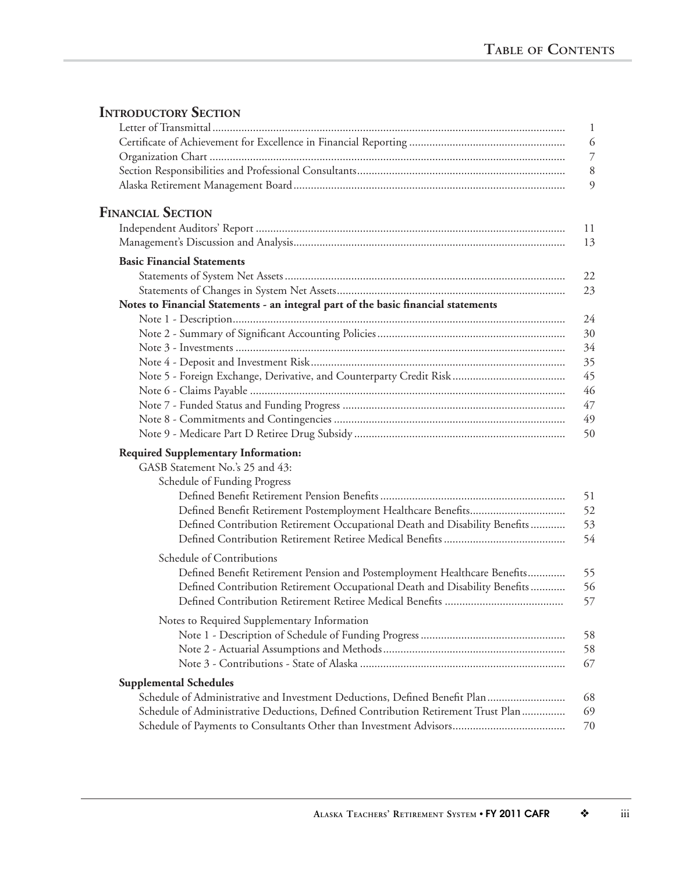## **INTRODUCTORY SECTION**

|                                                                                    | $\mathbf{1}$             |
|------------------------------------------------------------------------------------|--------------------------|
|                                                                                    | 6                        |
|                                                                                    | $\overline{\mathcal{I}}$ |
|                                                                                    | $8\,$                    |
|                                                                                    | 9                        |
| <b>FINANCIAL SECTION</b>                                                           |                          |
|                                                                                    | 11                       |
|                                                                                    | 13                       |
| <b>Basic Financial Statements</b>                                                  |                          |
|                                                                                    | 22                       |
|                                                                                    | 23                       |
| Notes to Financial Statements - an integral part of the basic financial statements |                          |
|                                                                                    | 24                       |
|                                                                                    | 30                       |
|                                                                                    | 34                       |
|                                                                                    | 35                       |
|                                                                                    | 45                       |
|                                                                                    | 46                       |
|                                                                                    | 47<br>49                 |
|                                                                                    | 50                       |
|                                                                                    |                          |
| <b>Required Supplementary Information:</b>                                         |                          |
| GASB Statement No.'s 25 and 43:                                                    |                          |
| Schedule of Funding Progress                                                       |                          |
|                                                                                    | 51<br>52                 |
| Defined Contribution Retirement Occupational Death and Disability Benefits         | 53                       |
|                                                                                    | 54                       |
|                                                                                    |                          |
| Schedule of Contributions                                                          |                          |
| Defined Benefit Retirement Pension and Postemployment Healthcare Benefits          | 55                       |
| Defined Contribution Retirement Occupational Death and Disability Benefits         | 56                       |
|                                                                                    | 57                       |
| Notes to Required Supplementary Information                                        |                          |
|                                                                                    | 58                       |
|                                                                                    | 58                       |
|                                                                                    | 67                       |
| <b>Supplemental Schedules</b>                                                      |                          |
| Schedule of Administrative and Investment Deductions, Defined Benefit Plan         | 68                       |
| Schedule of Administrative Deductions, Defined Contribution Retirement Trust Plan  | 69                       |
|                                                                                    | 70                       |